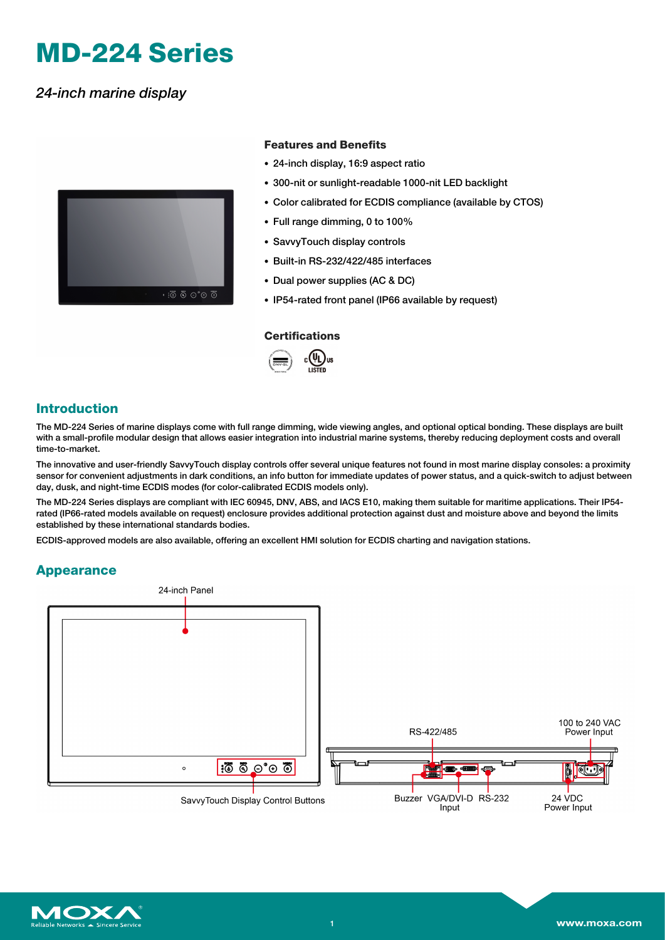# **MD-224 Series**

## *24-inch marine display*



#### **Features and Benefits**

- 24-inch display, 16:9 aspect ratio
- 300-nit or sunlight-readable 1000-nit LED backlight
- Color calibrated for ECDIS compliance (available by CTOS)
- Full range dimming, 0 to 100%
- SavvyTouch display controls
- Built-in RS-232/422/485 interfaces
- Dual power supplies (AC & DC)
- IP54-rated front panel (IP66 available by request)

#### **Certifications**



## **Introduction**

The MD-224 Series of marine displays come with full range dimming, wide viewing angles, and optional optical bonding. These displays are built with a small-profile modular design that allows easier integration into industrial marine systems, thereby reducing deployment costs and overall time-to-market.

The innovative and user-friendly SavvyTouch display controls offer several unique features not found in most marine display consoles: a proximity sensor for convenient adjustments in dark conditions, an info button for immediate updates of power status, and a quick-switch to adjust between day, dusk, and night-time ECDIS modes (for color-calibrated ECDIS models only).

The MD-224 Series displays are compliant with IEC 60945, DNV, ABS, and IACS E10, making them suitable for maritime applications. Their IP54 rated (IP66-rated models available on request) enclosure provides additional protection against dust and moisture above and beyond the limits established by these international standards bodies.

ECDIS-approved models are also available, offering an excellent HMI solution for ECDIS charting and navigation stations.

#### **Appearance**



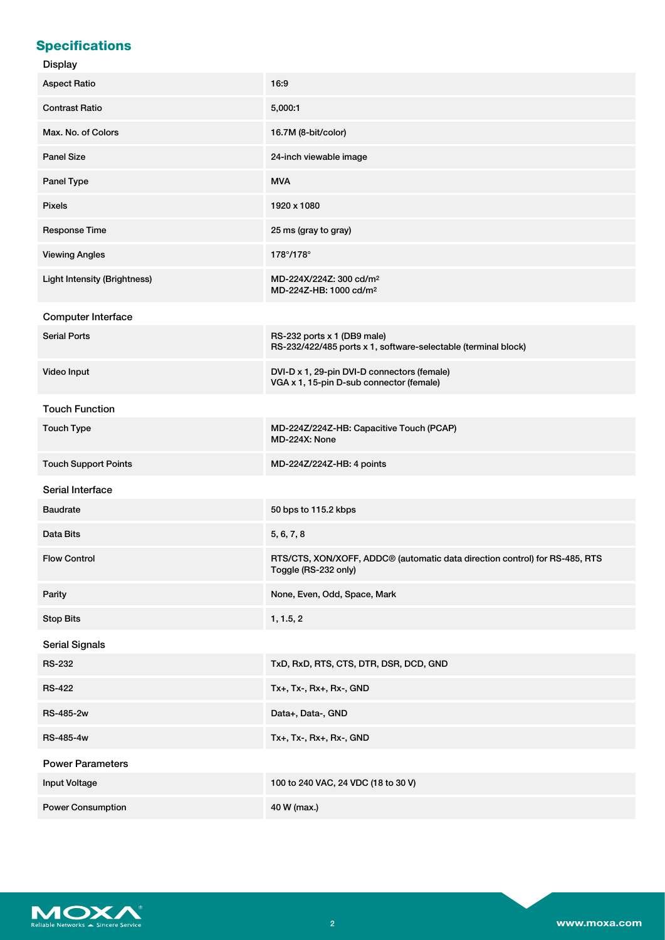# **Specifications**

#### Display

| <b>Aspect Ratio</b>                 | 16:9                                                                                                            |
|-------------------------------------|-----------------------------------------------------------------------------------------------------------------|
| <b>Contrast Ratio</b>               | 5,000:1                                                                                                         |
| Max. No. of Colors                  | 16.7M (8-bit/color)                                                                                             |
| <b>Panel Size</b>                   | 24-inch viewable image                                                                                          |
| Panel Type                          | <b>MVA</b>                                                                                                      |
| <b>Pixels</b>                       | 1920 x 1080                                                                                                     |
| <b>Response Time</b>                | 25 ms (gray to gray)                                                                                            |
| <b>Viewing Angles</b>               | 178°/178°                                                                                                       |
| <b>Light Intensity (Brightness)</b> | MD-224X/224Z: 300 cd/m <sup>2</sup><br>MD-224Z-HB: 1000 cd/m <sup>2</sup>                                       |
| Computer Interface                  |                                                                                                                 |
| <b>Serial Ports</b>                 | RS-232 ports x 1 (DB9 male)<br>RS-232/422/485 ports x 1, software-selectable (terminal block)                   |
| Video Input                         | DVI-D x 1, 29-pin DVI-D connectors (female)<br>VGA x 1, 15-pin D-sub connector (female)                         |
| <b>Touch Function</b>               |                                                                                                                 |
| <b>Touch Type</b>                   | MD-224Z/224Z-HB: Capacitive Touch (PCAP)<br>MD-224X: None                                                       |
| <b>Touch Support Points</b>         | MD-224Z/224Z-HB: 4 points                                                                                       |
| Serial Interface                    |                                                                                                                 |
| <b>Baudrate</b>                     | 50 bps to 115.2 kbps                                                                                            |
| Data Bits                           | 5, 6, 7, 8                                                                                                      |
| <b>Flow Control</b>                 | RTS/CTS, XON/XOFF, ADDC <sup>®</sup> (automatic data direction control) for RS-485, RTS<br>Toggle (RS-232 only) |
| Parity                              | None, Even, Odd, Space, Mark                                                                                    |
| <b>Stop Bits</b>                    | 1, 1.5, 2                                                                                                       |
| <b>Serial Signals</b>               |                                                                                                                 |
| <b>RS-232</b>                       | TxD, RxD, RTS, CTS, DTR, DSR, DCD, GND                                                                          |
| <b>RS-422</b>                       | Tx+, Tx-, Rx+, Rx-, GND                                                                                         |
| RS-485-2w                           | Data+, Data-, GND                                                                                               |
| RS-485-4w                           | Tx+, Tx-, Rx+, Rx-, GND                                                                                         |
| <b>Power Parameters</b>             |                                                                                                                 |
| Input Voltage                       | 100 to 240 VAC, 24 VDC (18 to 30 V)                                                                             |
| <b>Power Consumption</b>            | 40 W (max.)                                                                                                     |

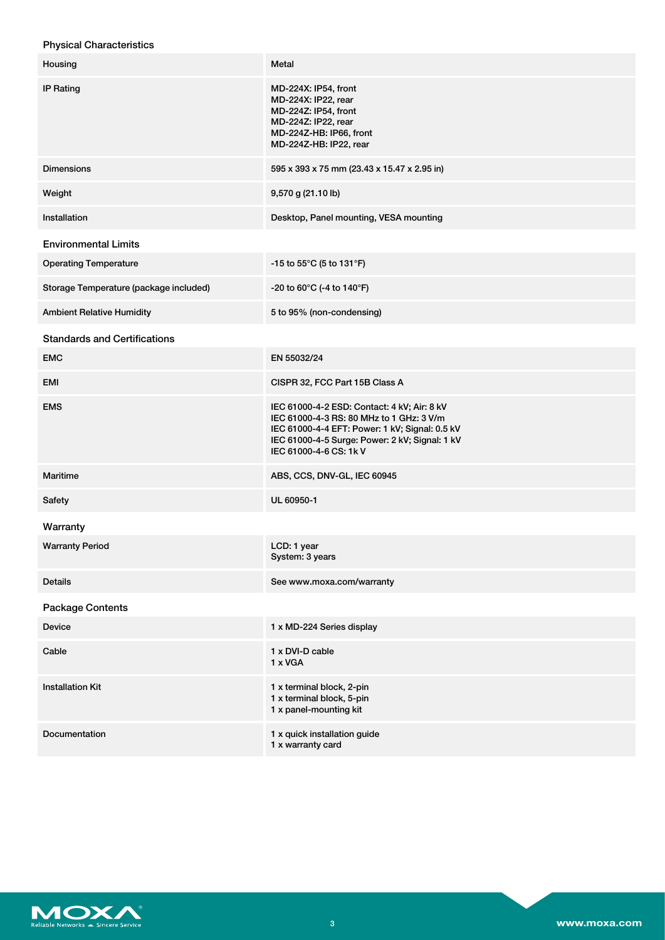### Physical Characteristics

| Housing                                | Metal                                                                                                                                                                                                                 |
|----------------------------------------|-----------------------------------------------------------------------------------------------------------------------------------------------------------------------------------------------------------------------|
| <b>IP Rating</b>                       | MD-224X: IP54, front<br>MD-224X: IP22, rear<br>MD-224Z: IP54, front<br>MD-224Z: IP22, rear<br>MD-224Z-HB: IP66, front<br>MD-224Z-HB: IP22, rear                                                                       |
| <b>Dimensions</b>                      | 595 x 393 x 75 mm (23.43 x 15.47 x 2.95 in)                                                                                                                                                                           |
| Weight                                 | 9,570 g (21.10 lb)                                                                                                                                                                                                    |
| Installation                           | Desktop, Panel mounting, VESA mounting                                                                                                                                                                                |
| <b>Environmental Limits</b>            |                                                                                                                                                                                                                       |
| <b>Operating Temperature</b>           | -15 to 55°C (5 to 131°F)                                                                                                                                                                                              |
| Storage Temperature (package included) | -20 to 60 $^{\circ}$ C (-4 to 140 $^{\circ}$ F)                                                                                                                                                                       |
| <b>Ambient Relative Humidity</b>       | 5 to 95% (non-condensing)                                                                                                                                                                                             |
| <b>Standards and Certifications</b>    |                                                                                                                                                                                                                       |
| <b>EMC</b>                             | EN 55032/24                                                                                                                                                                                                           |
| EMI                                    | CISPR 32, FCC Part 15B Class A                                                                                                                                                                                        |
| <b>EMS</b>                             | IEC 61000-4-2 ESD: Contact: 4 kV; Air: 8 kV<br>IEC 61000-4-3 RS: 80 MHz to 1 GHz: 3 V/m<br>IEC 61000-4-4 EFT: Power: 1 kV; Signal: 0.5 kV<br>IEC 61000-4-5 Surge: Power: 2 kV; Signal: 1 kV<br>IEC 61000-4-6 CS: 1k V |
| Maritime                               | ABS, CCS, DNV-GL, IEC 60945                                                                                                                                                                                           |
| Safety                                 | UL 60950-1                                                                                                                                                                                                            |
| Warranty                               |                                                                                                                                                                                                                       |
| <b>Warranty Period</b>                 | LCD: 1 year<br>System: 3 years                                                                                                                                                                                        |
| <b>Details</b>                         | See www.moxa.com/warranty                                                                                                                                                                                             |
| Package Contents                       |                                                                                                                                                                                                                       |
| <b>Device</b>                          | 1 x MD-224 Series display                                                                                                                                                                                             |
| Cable                                  | 1 x DVI-D cable<br>1 x VGA                                                                                                                                                                                            |
| <b>Installation Kit</b>                | 1 x terminal block, 2-pin<br>1 x terminal block, 5-pin<br>1 x panel-mounting kit                                                                                                                                      |
| Documentation                          | 1 x quick installation guide<br>1 x warranty card                                                                                                                                                                     |